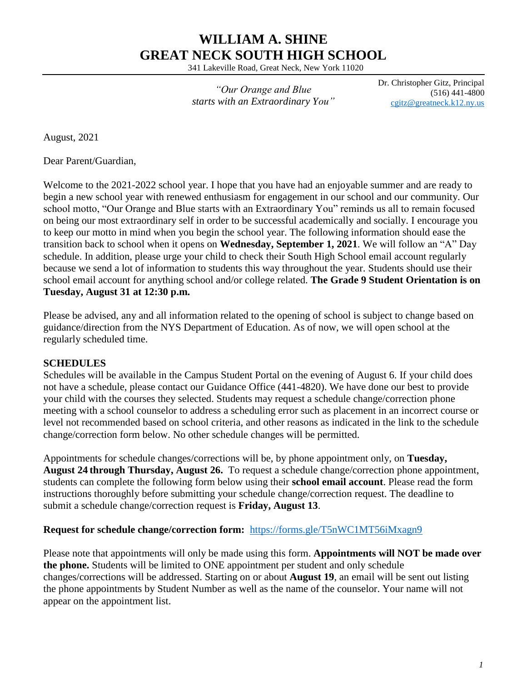# **WILLIAM A. SHINE GREAT NECK SOUTH HIGH SCHOOL**

341 Lakeville Road, Great Neck, New York 11020

*"Our Orange and Blue starts with an Extraordinary You"* Dr. Christopher Gitz, Principal (516) 441-4800 [cgitz@greatneck.k12.ny.us](mailto:cgitz@greatneck.k12.ny.us)

August, 2021

Dear Parent/Guardian,

Welcome to the 2021-2022 school year. I hope that you have had an enjoyable summer and are ready to begin a new school year with renewed enthusiasm for engagement in our school and our community. Our school motto, "Our Orange and Blue starts with an Extraordinary You" reminds us all to remain focused on being our most extraordinary self in order to be successful academically and socially. I encourage you to keep our motto in mind when you begin the school year. The following information should ease the transition back to school when it opens on **Wednesday, September 1, 2021**. We will follow an "A" Day schedule. In addition, please urge your child to check their South High School email account regularly because we send a lot of information to students this way throughout the year. Students should use their school email account for anything school and/or college related. **The Grade 9 Student Orientation is on Tuesday, August 31 at 12:30 p.m.**

Please be advised, any and all information related to the opening of school is subject to change based on guidance/direction from the NYS Department of Education. As of now, we will open school at the regularly scheduled time.

#### **SCHEDULES**

Schedules will be available in the Campus Student Portal on the evening of August 6. If your child does not have a schedule, please contact our Guidance Office (441-4820). We have done our best to provide your child with the courses they selected. Students may request a schedule change/correction phone meeting with a school counselor to address a scheduling error such as placement in an incorrect course or level not recommended based on school criteria, and other reasons as indicated in the link to the schedule change/correction form below. No other schedule changes will be permitted.

Appointments for schedule changes/corrections will be, by phone appointment only, on **Tuesday, August 24 through Thursday, August 26.** To request a schedule change/correction phone appointment, students can complete the following form below using their **school email account**. Please read the form instructions thoroughly before submitting your schedule change/correction request. The deadline to submit a schedule change/correction request is **Friday, August 13**.

#### **Request for schedule change/correction form:** <https://forms.gle/T5nWC1MT56iMxagn9>

Please note that appointments will only be made using this form. **Appointments will NOT be made over the phone.** Students will be limited to ONE appointment per student and only schedule changes/corrections will be addressed. Starting on or about **August 19**, an email will be sent out listing the phone appointments by Student Number as well as the name of the counselor. Your name will not appear on the appointment list.